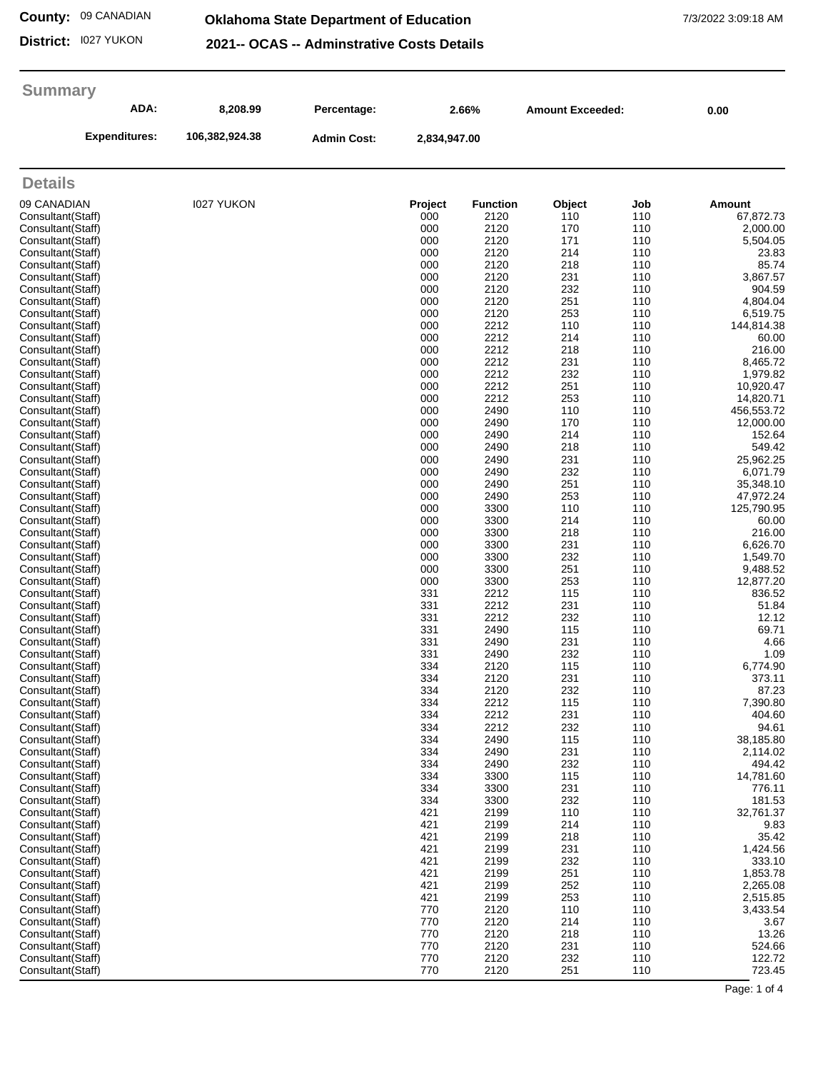#### **County:** 09 CANADIAN

### **Oklahoma State Department of Education** 7/3/2022 3:09:18 AM

**District:** I027 YUKON

**2021-- OCAS -- Adminstrative Costs Details**

| <b>Summary</b>                         |                   |             |                                             |                 |                         |            |                         |
|----------------------------------------|-------------------|-------------|---------------------------------------------|-----------------|-------------------------|------------|-------------------------|
| ADA:                                   | 8,208.99          | Percentage: | 2.66%<br><b>Admin Cost:</b><br>2,834,947.00 |                 | <b>Amount Exceeded:</b> |            | 0.00                    |
| <b>Expenditures:</b>                   | 106,382,924.38    |             |                                             |                 |                         |            |                         |
| <b>Details</b>                         |                   |             |                                             |                 |                         |            |                         |
| 09 CANADIAN                            | <b>I027 YUKON</b> |             | <b>Project</b>                              | <b>Function</b> | Object                  | Job        | Amount                  |
| Consultant(Staff)                      |                   |             | 000                                         | 2120            | 110                     | 110        | 67,872.73               |
| Consultant(Staff)                      |                   |             | 000                                         | 2120            | 170                     | 110        | 2,000.00                |
| Consultant(Staff)<br>Consultant(Staff) |                   |             | 000<br>000                                  | 2120<br>2120    | 171<br>214              | 110<br>110 | 5,504.05<br>23.83       |
| Consultant(Staff)                      |                   |             | 000                                         | 2120            | 218                     | 110        | 85.74                   |
| Consultant(Staff)                      |                   |             | 000                                         | 2120            | 231                     | 110        | 3,867.57                |
| Consultant(Staff)                      |                   |             | 000                                         | 2120            | 232                     | 110        | 904.59                  |
| Consultant(Staff)<br>Consultant(Staff) |                   |             | 000<br>000                                  | 2120<br>2120    | 251<br>253              | 110<br>110 | 4,804.04<br>6,519.75    |
| Consultant(Staff)                      |                   |             | 000                                         | 2212            | 110                     | 110        | 144,814.38              |
| Consultant(Staff)                      |                   |             | 000                                         | 2212            | 214                     | 110        | 60.00                   |
| Consultant(Staff)                      |                   |             | 000                                         | 2212            | 218                     | 110        | 216.00                  |
| Consultant(Staff)                      |                   |             | 000                                         | 2212            | 231                     | 110        | 8,465.72                |
| Consultant(Staff)<br>Consultant(Staff) |                   |             | 000<br>000                                  | 2212<br>2212    | 232<br>251              | 110<br>110 | 1,979.82<br>10,920.47   |
| Consultant(Staff)                      |                   |             | 000                                         | 2212            | 253                     | 110        | 14,820.71               |
| Consultant(Staff)                      |                   |             | 000                                         | 2490            | 110                     | 110        | 456,553.72              |
| Consultant(Staff)                      |                   |             | 000                                         | 2490            | 170                     | 110        | 12,000.00               |
| Consultant(Staff)<br>Consultant(Staff) |                   |             | 000<br>000                                  | 2490<br>2490    | 214<br>218              | 110<br>110 | 152.64<br>549.42        |
| Consultant(Staff)                      |                   |             | 000                                         | 2490            | 231                     | 110        | 25,962.25               |
| Consultant(Staff)                      |                   |             | 000                                         | 2490            | 232                     | 110        | 6,071.79                |
| Consultant(Staff)                      |                   |             | 000                                         | 2490            | 251                     | 110        | 35,348.10               |
| Consultant(Staff)                      |                   |             | 000<br>000                                  | 2490<br>3300    | 253<br>110              | 110<br>110 | 47,972.24<br>125,790.95 |
| Consultant(Staff)<br>Consultant(Staff) |                   |             | 000                                         | 3300            | 214                     | 110        | 60.00                   |
| Consultant(Staff)                      |                   |             | 000                                         | 3300            | 218                     | 110        | 216.00                  |
| Consultant(Staff)                      |                   |             | 000                                         | 3300            | 231                     | 110        | 6,626.70                |
| Consultant(Staff)                      |                   |             | 000                                         | 3300            | 232                     | 110        | 1,549.70                |
| Consultant(Staff)<br>Consultant(Staff) |                   |             | 000<br>000                                  | 3300<br>3300    | 251<br>253              | 110<br>110 | 9,488.52<br>12,877.20   |
| Consultant(Staff)                      |                   |             | 331                                         | 2212            | 115                     | 110        | 836.52                  |
| Consultant(Staff)                      |                   |             | 331                                         | 2212            | 231                     | 110        | 51.84                   |
| Consultant(Staff)                      |                   |             | 331                                         | 2212            | 232                     | 110        | 12.12                   |
| Consultant(Staff)<br>Consultant(Staff) |                   |             | 331<br>331                                  | 2490<br>2490    | 115<br>231              | 110<br>110 | 69.71<br>4.66           |
| Consultant(Staff)                      |                   |             | 331                                         | 2490            | 232                     | 110        | 1.09                    |
| Consultant(Staff)                      |                   |             | 334                                         | 2120            | 115                     | 110        | 6,774.90                |
| Consultant(Staff)                      |                   |             | 334                                         | 2120            | 231                     | 110        | 373.11                  |
| Consultant(Staff)                      |                   |             | 334                                         | 2120            | 232                     | 110        | 87.23                   |
| Consultant(Staff)<br>Consultant(Staff) |                   |             | 334<br>334                                  | 2212<br>2212    | 115<br>231              | 110<br>110 | 7,390.80<br>404.60      |
| Consultant(Staff)                      |                   |             | 334                                         | 2212            | 232                     | 110        | 94.61                   |
| Consultant(Staff)                      |                   |             | 334                                         | 2490            | 115                     | 110        | 38,185.80               |
| Consultant(Staff)                      |                   |             | 334                                         | 2490            | 231                     | 110        | 2,114.02                |
| Consultant(Staff)<br>Consultant(Staff) |                   |             | 334<br>334                                  | 2490<br>3300    | 232<br>115              | 110<br>110 | 494.42<br>14,781.60     |
| Consultant(Staff)                      |                   |             | 334                                         | 3300            | 231                     | 110        | 776.11                  |
| Consultant(Staff)                      |                   |             | 334                                         | 3300            | 232                     | 110        | 181.53                  |
| Consultant(Staff)                      |                   |             | 421                                         | 2199            | 110                     | 110        | 32,761.37               |
| Consultant(Staff)<br>Consultant(Staff) |                   |             | 421<br>421                                  | 2199<br>2199    | 214<br>218              | 110<br>110 | 9.83<br>35.42           |
| Consultant(Staff)                      |                   |             | 421                                         | 2199            | 231                     | 110        | 1,424.56                |
| Consultant(Staff)                      |                   |             | 421                                         | 2199            | 232                     | 110        | 333.10                  |
| Consultant(Staff)                      |                   |             | 421                                         | 2199            | 251                     | 110        | 1,853.78                |
| Consultant(Staff)                      |                   |             | 421                                         | 2199            | 252                     | 110        | 2,265.08                |
| Consultant(Staff)<br>Consultant(Staff) |                   |             | 421<br>770                                  | 2199<br>2120    | 253<br>110              | 110<br>110 | 2,515.85                |
| Consultant(Staff)                      |                   |             | 770                                         | 2120            | 214                     | 110        | 3,433.54<br>3.67        |
| Consultant(Staff)                      |                   |             | 770                                         | 2120            | 218                     | 110        | 13.26                   |
| Consultant(Staff)                      |                   |             | 770                                         | 2120            | 231                     | 110        | 524.66                  |
| Consultant(Staff)                      |                   |             | 770                                         | 2120            | 232                     | 110        | 122.72                  |
| Consultant(Staff)                      |                   |             | 770                                         | 2120            | 251                     | 110        | 723.45                  |

Page: 1 of 4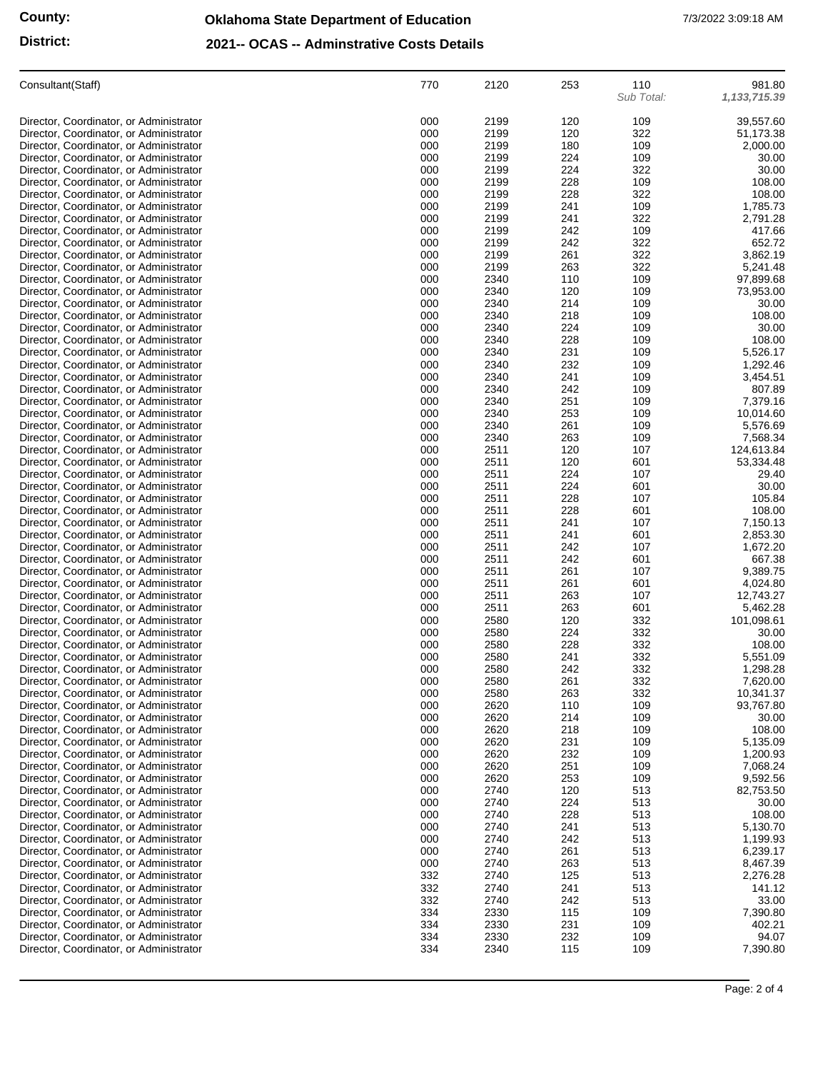## **Oklahoma State Department of Education** 7/3/2022 3:09:18 AM

### **District:**

| 2021-- OCAS -- Adminstrative Costs Details |
|--------------------------------------------|
|--------------------------------------------|

| Consultant (Staff)                                                                 | 770        | 2120         | 253        | 110<br>Sub Total: | 981.80<br>1, 133, 715.39 |
|------------------------------------------------------------------------------------|------------|--------------|------------|-------------------|--------------------------|
| Director, Coordinator, or Administrator                                            | 000        | 2199         | 120        | 109               | 39,557.60                |
| Director, Coordinator, or Administrator                                            | 000        | 2199         | 120        | 322               | 51,173.38                |
| Director, Coordinator, or Administrator                                            | 000        | 2199         | 180        | 109               | 2,000.00                 |
| Director, Coordinator, or Administrator                                            | 000        | 2199         | 224        | 109               | 30.00                    |
| Director, Coordinator, or Administrator                                            | 000<br>000 | 2199<br>2199 | 224<br>228 | 322               | 30.00                    |
| Director, Coordinator, or Administrator<br>Director, Coordinator, or Administrator | 000        | 2199         | 228        | 109<br>322        | 108.00<br>108.00         |
| Director, Coordinator, or Administrator                                            | 000        | 2199         | 241        | 109               | 1,785.73                 |
| Director, Coordinator, or Administrator                                            | 000        | 2199         | 241        | 322               | 2,791.28                 |
| Director, Coordinator, or Administrator                                            | 000        | 2199         | 242        | 109               | 417.66                   |
| Director, Coordinator, or Administrator                                            | 000        | 2199         | 242        | 322               | 652.72                   |
| Director, Coordinator, or Administrator<br>Director, Coordinator, or Administrator | 000<br>000 | 2199<br>2199 | 261<br>263 | 322<br>322        | 3,862.19<br>5,241.48     |
| Director, Coordinator, or Administrator                                            | 000        | 2340         | 110        | 109               | 97,899.68                |
| Director, Coordinator, or Administrator                                            | 000        | 2340         | 120        | 109               | 73,953.00                |
| Director, Coordinator, or Administrator                                            | 000        | 2340         | 214        | 109               | 30.00                    |
| Director, Coordinator, or Administrator                                            | 000        | 2340         | 218        | 109               | 108.00                   |
| Director, Coordinator, or Administrator                                            | 000        | 2340         | 224        | 109               | 30.00                    |
| Director, Coordinator, or Administrator                                            | 000<br>000 | 2340<br>2340 | 228<br>231 | 109               | 108.00<br>5,526.17       |
| Director, Coordinator, or Administrator<br>Director, Coordinator, or Administrator | 000        | 2340         | 232        | 109<br>109        | 1,292.46                 |
| Director, Coordinator, or Administrator                                            | 000        | 2340         | 241        | 109               | 3,454.51                 |
| Director, Coordinator, or Administrator                                            | 000        | 2340         | 242        | 109               | 807.89                   |
| Director, Coordinator, or Administrator                                            | 000        | 2340         | 251        | 109               | 7,379.16                 |
| Director, Coordinator, or Administrator                                            | 000        | 2340         | 253        | 109               | 10,014.60                |
| Director, Coordinator, or Administrator                                            | 000        | 2340         | 261        | 109               | 5,576.69                 |
| Director, Coordinator, or Administrator                                            | 000<br>000 | 2340<br>2511 | 263<br>120 | 109               | 7,568.34<br>124,613.84   |
| Director, Coordinator, or Administrator<br>Director, Coordinator, or Administrator | 000        | 2511         | 120        | 107<br>601        | 53,334.48                |
| Director, Coordinator, or Administrator                                            | 000        | 2511         | 224        | 107               | 29.40                    |
| Director, Coordinator, or Administrator                                            | 000        | 2511         | 224        | 601               | 30.00                    |
| Director, Coordinator, or Administrator                                            | 000        | 2511         | 228        | 107               | 105.84                   |
| Director, Coordinator, or Administrator                                            | 000        | 2511         | 228        | 601               | 108.00                   |
| Director, Coordinator, or Administrator                                            | 000        | 2511         | 241        | 107               | 7,150.13                 |
| Director, Coordinator, or Administrator<br>Director, Coordinator, or Administrator | 000<br>000 | 2511<br>2511 | 241<br>242 | 601<br>107        | 2,853.30<br>1,672.20     |
| Director, Coordinator, or Administrator                                            | 000        | 2511         | 242        | 601               | 667.38                   |
| Director, Coordinator, or Administrator                                            | 000        | 2511         | 261        | 107               | 9,389.75                 |
| Director, Coordinator, or Administrator                                            | 000        | 2511         | 261        | 601               | 4,024.80                 |
| Director, Coordinator, or Administrator                                            | 000        | 2511         | 263        | 107               | 12,743.27                |
| Director, Coordinator, or Administrator                                            | 000        | 2511         | 263        | 601               | 5,462.28                 |
| Director, Coordinator, or Administrator<br>Director, Coordinator, or Administrator | 000<br>000 | 2580<br>2580 | 120<br>224 | 332<br>332        | 101,098.61<br>30.00      |
| Director, Coordinator, or Administrator                                            | 000        | 2580         | 228        | 332               | 108.00                   |
| Director, Coordinator, or Administrator                                            | 000        | 2580         | 241        | 332               | 5,551.09                 |
| Director, Coordinator, or Administrator                                            | 000        | 2580         | 242        | 332               | 1,298.28                 |
| Director, Coordinator, or Administrator                                            | 000        | 2580         | 261        | 332               | 7,620.00                 |
| Director, Coordinator, or Administrator                                            | 000        | 2580         | 263        | 332               | 10,341.37                |
| Director, Coordinator, or Administrator<br>Director, Coordinator, or Administrator | 000<br>000 | 2620<br>2620 | 110<br>214 | 109<br>109        | 93,767.80<br>30.00       |
| Director, Coordinator, or Administrator                                            | 000        | 2620         | 218        | 109               | 108.00                   |
| Director, Coordinator, or Administrator                                            | 000        | 2620         | 231        | 109               | 5,135.09                 |
| Director, Coordinator, or Administrator                                            | 000        | 2620         | 232        | 109               | 1,200.93                 |
| Director, Coordinator, or Administrator                                            | 000        | 2620         | 251        | 109               | 7,068.24                 |
| Director, Coordinator, or Administrator                                            | 000        | 2620         | 253        | 109               | 9,592.56                 |
| Director, Coordinator, or Administrator<br>Director, Coordinator, or Administrator | 000<br>000 | 2740<br>2740 | 120<br>224 | 513<br>513        | 82,753.50<br>30.00       |
| Director, Coordinator, or Administrator                                            | 000        | 2740         | 228        | 513               | 108.00                   |
| Director, Coordinator, or Administrator                                            | 000        | 2740         | 241        | 513               | 5,130.70                 |
| Director, Coordinator, or Administrator                                            | 000        | 2740         | 242        | 513               | 1,199.93                 |
| Director, Coordinator, or Administrator                                            | 000        | 2740         | 261        | 513               | 6,239.17                 |
| Director, Coordinator, or Administrator                                            | 000        | 2740         | 263        | 513               | 8,467.39                 |
| Director, Coordinator, or Administrator                                            | 332        | 2740         | 125        | 513               | 2,276.28                 |
| Director, Coordinator, or Administrator<br>Director, Coordinator, or Administrator | 332<br>332 | 2740<br>2740 | 241<br>242 | 513<br>513        | 141.12<br>33.00          |
| Director, Coordinator, or Administrator                                            | 334        | 2330         | 115        | 109               | 7,390.80                 |
| Director, Coordinator, or Administrator                                            | 334        | 2330         | 231        | 109               | 402.21                   |
| Director, Coordinator, or Administrator                                            | 334        | 2330         | 232        | 109               | 94.07                    |
| Director, Coordinator, or Administrator                                            | 334        | 2340         | 115        | 109               | 7,390.80                 |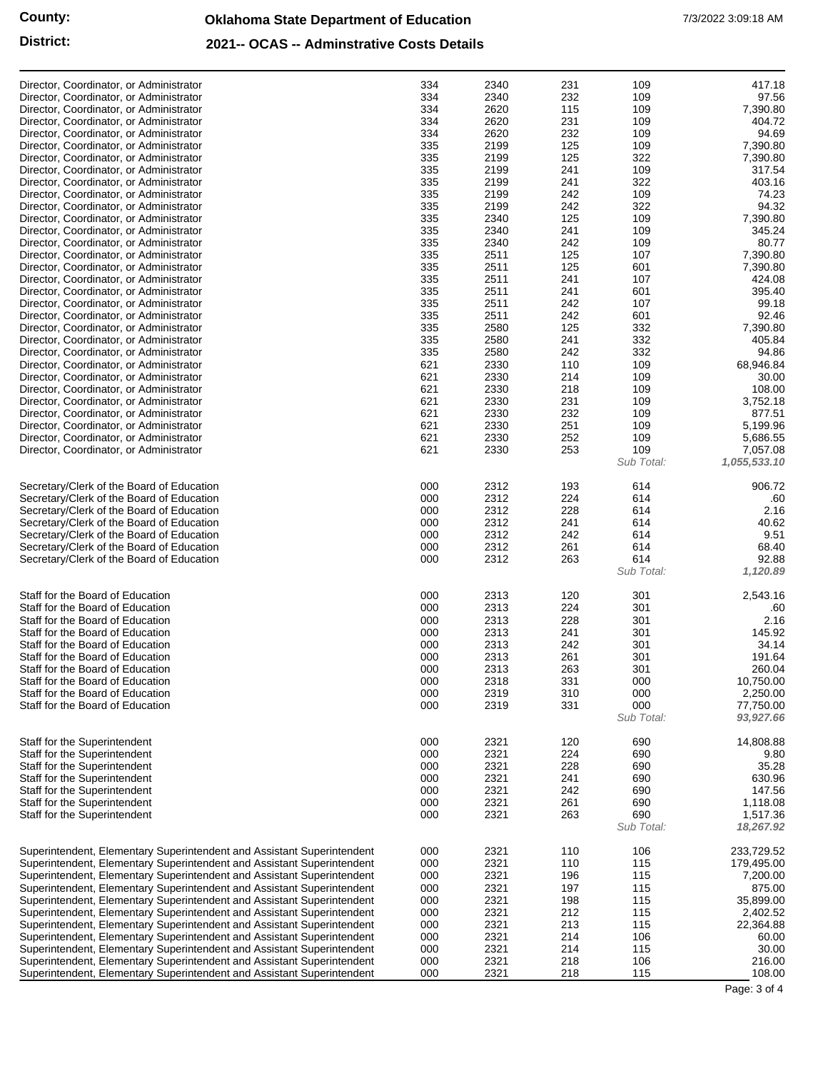#### **2021-- OCAS -- Adminstrative Costs Details**

| Director, Coordinator, or Administrator<br>Director, Coordinator, or Administrator<br>Director, Coordinator, or Administrator<br>Director, Coordinator, or Administrator<br>Director, Coordinator, or Administrator<br>Director, Coordinator, or Administrator<br>Director, Coordinator, or Administrator<br>Director, Coordinator, or Administrator<br>Director, Coordinator, or Administrator<br>Director, Coordinator, or Administrator<br>Director, Coordinator, or Administrator<br>Director, Coordinator, or Administrator<br>Director, Coordinator, or Administrator<br>Director, Coordinator, or Administrator<br>Director, Coordinator, or Administrator<br>Director, Coordinator, or Administrator<br>Director, Coordinator, or Administrator<br>Director, Coordinator, or Administrator<br>Director, Coordinator, or Administrator<br>Director, Coordinator, or Administrator<br>Director, Coordinator, or Administrator<br>Director, Coordinator, or Administrator<br>Director, Coordinator, or Administrator<br>Director, Coordinator, or Administrator<br>Director, Coordinator, or Administrator<br>Director, Coordinator, or Administrator<br>Director, Coordinator, or Administrator<br>Director, Coordinator, or Administrator<br>Director, Coordinator, or Administrator<br>Director, Coordinator, or Administrator<br>Director, Coordinator, or Administrator | 334<br>334<br>334<br>334<br>334<br>335<br>335<br>335<br>335<br>335<br>335<br>335<br>335<br>335<br>335<br>335<br>335<br>335<br>335<br>335<br>335<br>335<br>335<br>621<br>621<br>621<br>621<br>621<br>621<br>621<br>621 | 2340<br>2340<br>2620<br>2620<br>2620<br>2199<br>2199<br>2199<br>2199<br>2199<br>2199<br>2340<br>2340<br>2340<br>2511<br>2511<br>2511<br>2511<br>2511<br>2511<br>2580<br>2580<br>2580<br>2330<br>2330<br>2330<br>2330<br>2330<br>2330<br>2330<br>2330 | 231<br>232<br>115<br>231<br>232<br>125<br>125<br>241<br>241<br>242<br>242<br>125<br>241<br>242<br>125<br>125<br>241<br>241<br>242<br>242<br>125<br>241<br>242<br>110<br>214<br>218<br>231<br>232<br>251<br>252<br>253 | 109<br>109<br>109<br>109<br>109<br>109<br>322<br>109<br>322<br>109<br>322<br>109<br>109<br>109<br>107<br>601<br>107<br>601<br>107<br>601<br>332<br>332<br>332<br>109<br>109<br>109<br>109<br>109<br>109<br>109<br>109<br>Sub Total: | 417.18<br>97.56<br>7,390.80<br>404.72<br>94.69<br>7,390.80<br>7,390.80<br>317.54<br>403.16<br>74.23<br>94.32<br>7,390.80<br>345.24<br>80.77<br>7,390.80<br>7,390.80<br>424.08<br>395.40<br>99.18<br>92.46<br>7,390.80<br>405.84<br>94.86<br>68,946.84<br>30.00<br>108.00<br>3,752.18<br>877.51<br>5,199.96<br>5,686.55<br>7,057.08<br>1,055,533.10 |
|-----------------------------------------------------------------------------------------------------------------------------------------------------------------------------------------------------------------------------------------------------------------------------------------------------------------------------------------------------------------------------------------------------------------------------------------------------------------------------------------------------------------------------------------------------------------------------------------------------------------------------------------------------------------------------------------------------------------------------------------------------------------------------------------------------------------------------------------------------------------------------------------------------------------------------------------------------------------------------------------------------------------------------------------------------------------------------------------------------------------------------------------------------------------------------------------------------------------------------------------------------------------------------------------------------------------------------------------------------------------------------------|-----------------------------------------------------------------------------------------------------------------------------------------------------------------------------------------------------------------------|------------------------------------------------------------------------------------------------------------------------------------------------------------------------------------------------------------------------------------------------------|-----------------------------------------------------------------------------------------------------------------------------------------------------------------------------------------------------------------------|-------------------------------------------------------------------------------------------------------------------------------------------------------------------------------------------------------------------------------------|----------------------------------------------------------------------------------------------------------------------------------------------------------------------------------------------------------------------------------------------------------------------------------------------------------------------------------------------------|
| Secretary/Clerk of the Board of Education<br>Secretary/Clerk of the Board of Education<br>Secretary/Clerk of the Board of Education<br>Secretary/Clerk of the Board of Education<br>Secretary/Clerk of the Board of Education<br>Secretary/Clerk of the Board of Education<br>Secretary/Clerk of the Board of Education                                                                                                                                                                                                                                                                                                                                                                                                                                                                                                                                                                                                                                                                                                                                                                                                                                                                                                                                                                                                                                                           | 000<br>000<br>000<br>000<br>000<br>000<br>000                                                                                                                                                                         | 2312<br>2312<br>2312<br>2312<br>2312<br>2312<br>2312                                                                                                                                                                                                 | 193<br>224<br>228<br>241<br>242<br>261<br>263                                                                                                                                                                         | 614<br>614<br>614<br>614<br>614<br>614<br>614<br>Sub Total:                                                                                                                                                                         | 906.72<br>.60<br>2.16<br>40.62<br>9.51<br>68.40<br>92.88<br>1,120.89                                                                                                                                                                                                                                                                               |
| Staff for the Board of Education<br>Staff for the Board of Education<br>Staff for the Board of Education<br>Staff for the Board of Education<br>Staff for the Board of Education<br>Staff for the Board of Education<br>Staff for the Board of Education<br>Staff for the Board of Education<br>Staff for the Board of Education<br>Staff for the Board of Education                                                                                                                                                                                                                                                                                                                                                                                                                                                                                                                                                                                                                                                                                                                                                                                                                                                                                                                                                                                                              | 000<br>000<br>000<br>000<br>000<br>000<br>000<br>000<br>000<br>000                                                                                                                                                    | 2313<br>2313<br>2313<br>2313<br>2313<br>2313<br>2313<br>2318<br>2319<br>2319                                                                                                                                                                         | 120<br>224<br>228<br>241<br>242<br>261<br>263<br>331<br>310<br>331                                                                                                                                                    | 301<br>301<br>301<br>301<br>301<br>301<br>301<br>000<br>000<br>000<br>Sub Total:                                                                                                                                                    | 2,543.16<br>.60<br>2.16<br>145.92<br>34.14<br>191.64<br>260.04<br>10,750.00<br>2,250.00<br>77,750.00<br>93,927.66                                                                                                                                                                                                                                  |
| Staff for the Superintendent<br>Staff for the Superintendent<br>Staff for the Superintendent<br>Staff for the Superintendent<br>Staff for the Superintendent<br>Staff for the Superintendent<br>Staff for the Superintendent                                                                                                                                                                                                                                                                                                                                                                                                                                                                                                                                                                                                                                                                                                                                                                                                                                                                                                                                                                                                                                                                                                                                                      | 000<br>000<br>000<br>000<br>000<br>000<br>000                                                                                                                                                                         | 2321<br>2321<br>2321<br>2321<br>2321<br>2321<br>2321                                                                                                                                                                                                 | 120<br>224<br>228<br>241<br>242<br>261<br>263                                                                                                                                                                         | 690<br>690<br>690<br>690<br>690<br>690<br>690<br>Sub Total:                                                                                                                                                                         | 14,808.88<br>9.80<br>35.28<br>630.96<br>147.56<br>1,118.08<br>1,517.36<br>18,267.92                                                                                                                                                                                                                                                                |
| Superintendent, Elementary Superintendent and Assistant Superintendent<br>Superintendent, Elementary Superintendent and Assistant Superintendent<br>Superintendent, Elementary Superintendent and Assistant Superintendent<br>Superintendent, Elementary Superintendent and Assistant Superintendent<br>Superintendent, Elementary Superintendent and Assistant Superintendent<br>Superintendent, Elementary Superintendent and Assistant Superintendent<br>Superintendent, Elementary Superintendent and Assistant Superintendent<br>Superintendent, Elementary Superintendent and Assistant Superintendent<br>Superintendent, Elementary Superintendent and Assistant Superintendent<br>Superintendent, Elementary Superintendent and Assistant Superintendent<br>Superintendent, Elementary Superintendent and Assistant Superintendent                                                                                                                                                                                                                                                                                                                                                                                                                                                                                                                                        | 000<br>000<br>000<br>000<br>000<br>000<br>000<br>000<br>000<br>000<br>000                                                                                                                                             | 2321<br>2321<br>2321<br>2321<br>2321<br>2321<br>2321<br>2321<br>2321<br>2321<br>2321                                                                                                                                                                 | 110<br>110<br>196<br>197<br>198<br>212<br>213<br>214<br>214<br>218<br>218                                                                                                                                             | 106<br>115<br>115<br>115<br>115<br>115<br>115<br>106<br>115<br>106<br>115                                                                                                                                                           | 233,729.52<br>179,495.00<br>7,200.00<br>875.00<br>35,899.00<br>2,402.52<br>22,364.88<br>60.00<br>30.00<br>216.00<br>108.00                                                                                                                                                                                                                         |

Page: 3 of 4